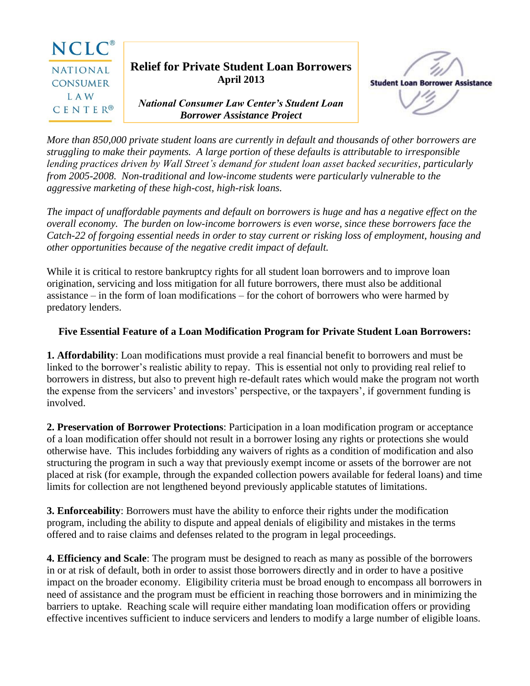

*More than 850,000 private student loans are currently in default and thousands of other borrowers are struggling to make their payments. A large portion of these defaults is attributable to irresponsible lending practices driven by Wall Street's demand for student loan asset backed securities, particularly from 2005-2008. Non-traditional and low-income students were particularly vulnerable to the aggressive marketing of these high-cost, high-risk loans.*

*The impact of unaffordable payments and default on borrowers is huge and has a negative effect on the overall economy. The burden on low-income borrowers is even worse, since these borrowers face the Catch-22 of forgoing essential needs in order to stay current or risking loss of employment, housing and other opportunities because of the negative credit impact of default.*

While it is critical to restore bankruptcy rights for all student loan borrowers and to improve loan origination, servicing and loss mitigation for all future borrowers, there must also be additional assistance – in the form of loan modifications – for the cohort of borrowers who were harmed by predatory lenders.

## **Five Essential Feature of a Loan Modification Program for Private Student Loan Borrowers:**

**1. Affordability**: Loan modifications must provide a real financial benefit to borrowers and must be linked to the borrower's realistic ability to repay. This is essential not only to providing real relief to borrowers in distress, but also to prevent high re-default rates which would make the program not worth the expense from the servicers' and investors' perspective, or the taxpayers', if government funding is involved.

**2. Preservation of Borrower Protections**: Participation in a loan modification program or acceptance of a loan modification offer should not result in a borrower losing any rights or protections she would otherwise have. This includes forbidding any waivers of rights as a condition of modification and also structuring the program in such a way that previously exempt income or assets of the borrower are not placed at risk (for example, through the expanded collection powers available for federal loans) and time limits for collection are not lengthened beyond previously applicable statutes of limitations.

**3. Enforceability**: Borrowers must have the ability to enforce their rights under the modification program, including the ability to dispute and appeal denials of eligibility and mistakes in the terms offered and to raise claims and defenses related to the program in legal proceedings.

**4. Efficiency and Scale**: The program must be designed to reach as many as possible of the borrowers in or at risk of default, both in order to assist those borrowers directly and in order to have a positive impact on the broader economy. Eligibility criteria must be broad enough to encompass all borrowers in need of assistance and the program must be efficient in reaching those borrowers and in minimizing the barriers to uptake. Reaching scale will require either mandating loan modification offers or providing effective incentives sufficient to induce servicers and lenders to modify a large number of eligible loans.